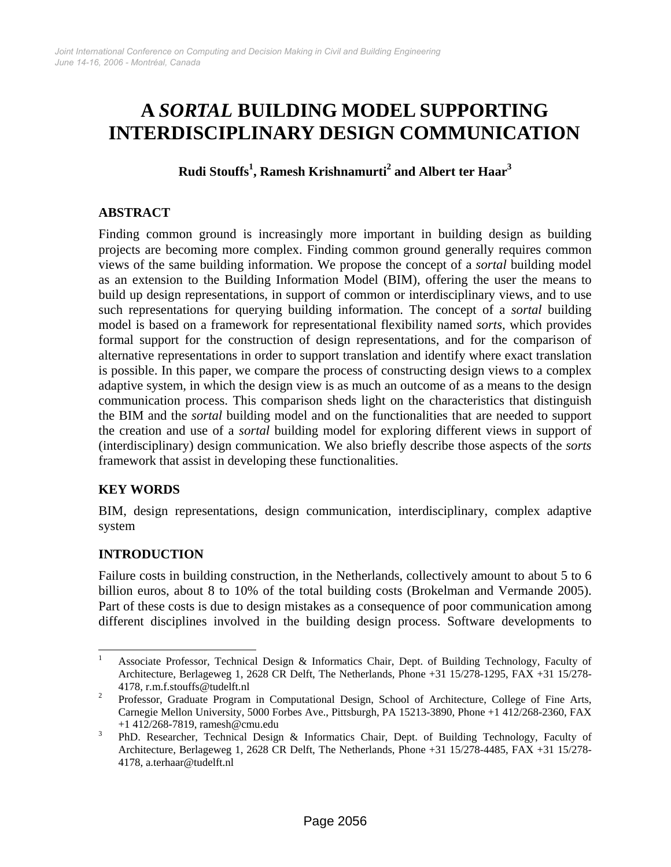# **A** *SORTAL* **BUILDING MODEL SUPPORTING INTERDISCIPLINARY DESIGN COMMUNICATION**

**Rudi Stouffs[1](#page-0-0) , Ramesh Krishnamurt[i2](#page-0-1) and Albert ter Haar[3](#page-0-2)**

## **ABSTRACT**

Finding common ground is increasingly more important in building design as building projects are becoming more complex. Finding common ground generally requires common views of the same building information. We propose the concept of a *sortal* building model as an extension to the Building Information Model (BIM), offering the user the means to build up design representations, in support of common or interdisciplinary views, and to use such representations for querying building information. The concept of a *sortal* building model is based on a framework for representational flexibility named *sorts*, which provides formal support for the construction of design representations, and for the comparison of alternative representations in order to support translation and identify where exact translation is possible. In this paper, we compare the process of constructing design views to a complex adaptive system, in which the design view is as much an outcome of as a means to the design communication process. This comparison sheds light on the characteristics that distinguish the BIM and the *sortal* building model and on the functionalities that are needed to support the creation and use of a *sortal* building model for exploring different views in support of (interdisciplinary) design communication. We also briefly describe those aspects of the *sorts* framework that assist in developing these functionalities.

### **KEY WORDS**

BIM, design representations, design communication, interdisciplinary, complex adaptive system

# **INTRODUCTION**

Failure costs in building construction, in the Netherlands, collectively amount to about 5 to 6 billion euros, about 8 to 10% of the total building costs (Brokelman and Vermande 2005). Part of these costs is due to design mistakes as a consequence of poor communication among different disciplines involved in the building design process. Software developments to

<span id="page-0-0"></span><sup>|&</sup>lt;br>|<br>| Associate Professor, Technical Design & Informatics Chair, Dept. of Building Technology, Faculty of Architecture, Berlageweg 1, 2628 CR Delft, The Netherlands, Phone +31 15/278-1295, FAX +31 15/278-

<span id="page-0-1"></span><sup>4178,</sup> r.m.f.stouffs@tudelft.nl<br><sup>2</sup> Professor, Graduate Program in Computational Design, School of Architecture, College of Fine Arts, Carnegie Mellon University, 5000 Forbes Ave., Pittsburgh, PA 15213-3890, Phone +1 412/268-2360, FAX +1 412/268-7819, ramesh@cmu.edu 3

<span id="page-0-2"></span>PhD. Researcher, Technical Design & Informatics Chair, Dept. of Building Technology, Faculty of Architecture, Berlageweg 1, 2628 CR Delft, The Netherlands, Phone +31 15/278-4485, FAX +31 15/278- 4178, a.terhaar@tudelft.nl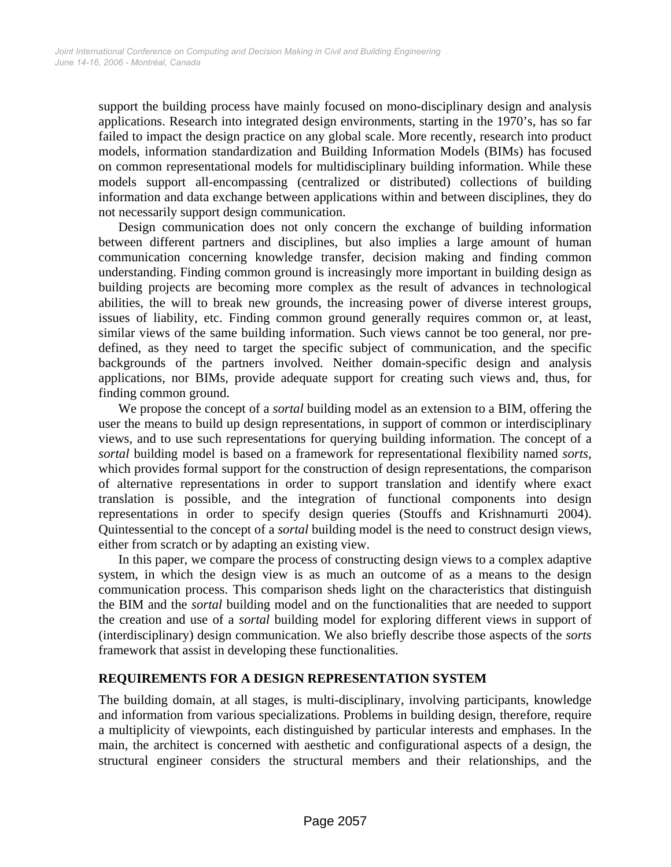support the building process have mainly focused on mono-disciplinary design and analysis applications. Research into integrated design environments, starting in the 1970's, has so far failed to impact the design practice on any global scale. More recently, research into product models, information standardization and Building Information Models (BIMs) has focused on common representational models for multidisciplinary building information. While these models support all-encompassing (centralized or distributed) collections of building information and data exchange between applications within and between disciplines, they do not necessarily support design communication.

Design communication does not only concern the exchange of building information between different partners and disciplines, but also implies a large amount of human communication concerning knowledge transfer, decision making and finding common understanding. Finding common ground is increasingly more important in building design as building projects are becoming more complex as the result of advances in technological abilities, the will to break new grounds, the increasing power of diverse interest groups, issues of liability, etc. Finding common ground generally requires common or, at least, similar views of the same building information. Such views cannot be too general, nor predefined, as they need to target the specific subject of communication, and the specific backgrounds of the partners involved. Neither domain-specific design and analysis applications, nor BIMs, provide adequate support for creating such views and, thus, for finding common ground.

We propose the concept of a *sortal* building model as an extension to a BIM, offering the user the means to build up design representations, in support of common or interdisciplinary views, and to use such representations for querying building information. The concept of a *sortal* building model is based on a framework for representational flexibility named *sorts*, which provides formal support for the construction of design representations, the comparison of alternative representations in order to support translation and identify where exact translation is possible, and the integration of functional components into design representations in order to specify design queries (Stouffs and Krishnamurti 2004). Quintessential to the concept of a *sortal* building model is the need to construct design views, either from scratch or by adapting an existing view.

In this paper, we compare the process of constructing design views to a complex adaptive system, in which the design view is as much an outcome of as a means to the design communication process. This comparison sheds light on the characteristics that distinguish the BIM and the *sortal* building model and on the functionalities that are needed to support the creation and use of a *sortal* building model for exploring different views in support of (interdisciplinary) design communication. We also briefly describe those aspects of the *sorts* framework that assist in developing these functionalities.

### **REQUIREMENTS FOR A DESIGN REPRESENTATION SYSTEM**

The building domain, at all stages, is multi-disciplinary, involving participants, knowledge and information from various specializations. Problems in building design, therefore, require a multiplicity of viewpoints, each distinguished by particular interests and emphases. In the main, the architect is concerned with aesthetic and configurational aspects of a design, the structural engineer considers the structural members and their relationships, and the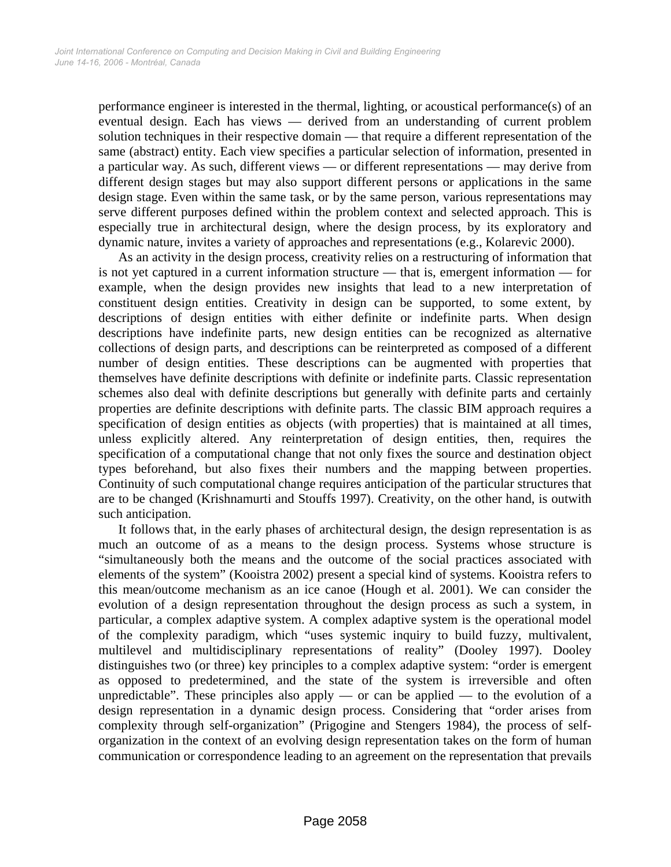performance engineer is interested in the thermal, lighting, or acoustical performance(s) of an eventual design. Each has views — derived from an understanding of current problem solution techniques in their respective domain — that require a different representation of the same (abstract) entity. Each view specifies a particular selection of information, presented in a particular way. As such, different views — or different representations — may derive from different design stages but may also support different persons or applications in the same design stage. Even within the same task, or by the same person, various representations may serve different purposes defined within the problem context and selected approach. This is especially true in architectural design, where the design process, by its exploratory and dynamic nature, invites a variety of approaches and representations (e.g., Kolarevic 2000).

As an activity in the design process, creativity relies on a restructuring of information that is not yet captured in a current information structure — that is, emergent information — for example, when the design provides new insights that lead to a new interpretation of constituent design entities. Creativity in design can be supported, to some extent, by descriptions of design entities with either definite or indefinite parts. When design descriptions have indefinite parts, new design entities can be recognized as alternative collections of design parts, and descriptions can be reinterpreted as composed of a different number of design entities. These descriptions can be augmented with properties that themselves have definite descriptions with definite or indefinite parts. Classic representation schemes also deal with definite descriptions but generally with definite parts and certainly properties are definite descriptions with definite parts. The classic BIM approach requires a specification of design entities as objects (with properties) that is maintained at all times, unless explicitly altered. Any reinterpretation of design entities, then, requires the specification of a computational change that not only fixes the source and destination object types beforehand, but also fixes their numbers and the mapping between properties. Continuity of such computational change requires anticipation of the particular structures that are to be changed (Krishnamurti and Stouffs 1997). Creativity, on the other hand, is outwith such anticipation.

It follows that, in the early phases of architectural design, the design representation is as much an outcome of as a means to the design process. Systems whose structure is "simultaneously both the means and the outcome of the social practices associated with elements of the system" (Kooistra 2002) present a special kind of systems. Kooistra refers to this mean/outcome mechanism as an ice canoe (Hough et al. 2001). We can consider the evolution of a design representation throughout the design process as such a system, in particular, a complex adaptive system. A complex adaptive system is the operational model of the complexity paradigm, which "uses systemic inquiry to build fuzzy, multivalent, multilevel and multidisciplinary representations of reality" (Dooley 1997). Dooley distinguishes two (or three) key principles to a complex adaptive system: "order is emergent as opposed to predetermined, and the state of the system is irreversible and often unpredictable". These principles also apply — or can be applied — to the evolution of a design representation in a dynamic design process. Considering that "order arises from complexity through self-organization" (Prigogine and Stengers 1984), the process of selforganization in the context of an evolving design representation takes on the form of human communication or correspondence leading to an agreement on the representation that prevails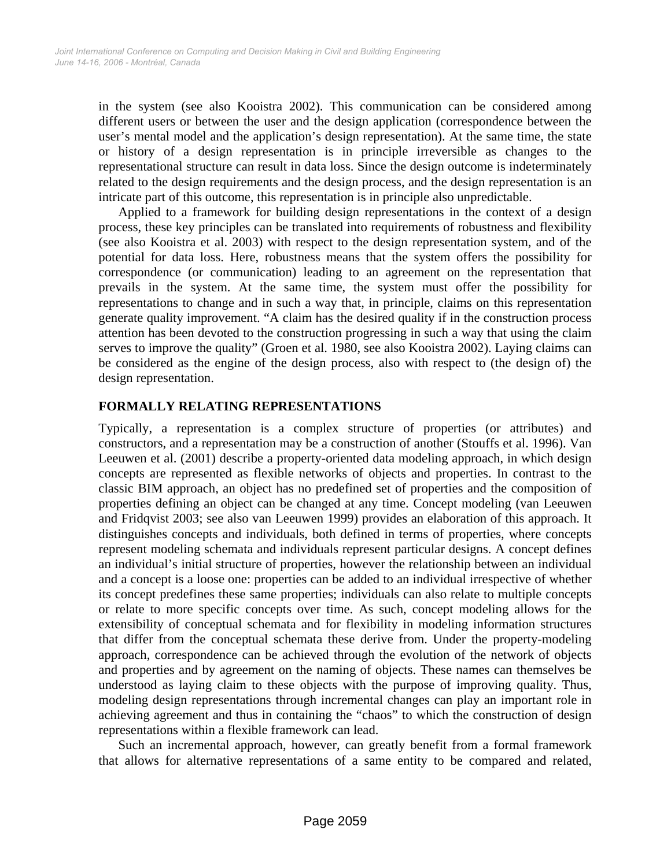in the system (see also Kooistra 2002). This communication can be considered among different users or between the user and the design application (correspondence between the user's mental model and the application's design representation). At the same time, the state or history of a design representation is in principle irreversible as changes to the representational structure can result in data loss. Since the design outcome is indeterminately related to the design requirements and the design process, and the design representation is an intricate part of this outcome, this representation is in principle also unpredictable.

Applied to a framework for building design representations in the context of a design process, these key principles can be translated into requirements of robustness and flexibility (see also Kooistra et al. 2003) with respect to the design representation system, and of the potential for data loss. Here, robustness means that the system offers the possibility for correspondence (or communication) leading to an agreement on the representation that prevails in the system. At the same time, the system must offer the possibility for representations to change and in such a way that, in principle, claims on this representation generate quality improvement. "A claim has the desired quality if in the construction process attention has been devoted to the construction progressing in such a way that using the claim serves to improve the quality" (Groen et al. 1980, see also Kooistra 2002). Laying claims can be considered as the engine of the design process, also with respect to (the design of) the design representation.

### **FORMALLY RELATING REPRESENTATIONS**

Typically, a representation is a complex structure of properties (or attributes) and constructors, and a representation may be a construction of another (Stouffs et al. 1996). Van Leeuwen et al. (2001) describe a property-oriented data modeling approach, in which design concepts are represented as flexible networks of objects and properties. In contrast to the classic BIM approach, an object has no predefined set of properties and the composition of properties defining an object can be changed at any time. Concept modeling (van Leeuwen and Fridqvist 2003; see also van Leeuwen 1999) provides an elaboration of this approach. It distinguishes concepts and individuals, both defined in terms of properties, where concepts represent modeling schemata and individuals represent particular designs. A concept defines an individual's initial structure of properties, however the relationship between an individual and a concept is a loose one: properties can be added to an individual irrespective of whether its concept predefines these same properties; individuals can also relate to multiple concepts or relate to more specific concepts over time. As such, concept modeling allows for the extensibility of conceptual schemata and for flexibility in modeling information structures that differ from the conceptual schemata these derive from. Under the property-modeling approach, correspondence can be achieved through the evolution of the network of objects and properties and by agreement on the naming of objects. These names can themselves be understood as laying claim to these objects with the purpose of improving quality. Thus, modeling design representations through incremental changes can play an important role in achieving agreement and thus in containing the "chaos" to which the construction of design representations within a flexible framework can lead.

Such an incremental approach, however, can greatly benefit from a formal framework that allows for alternative representations of a same entity to be compared and related,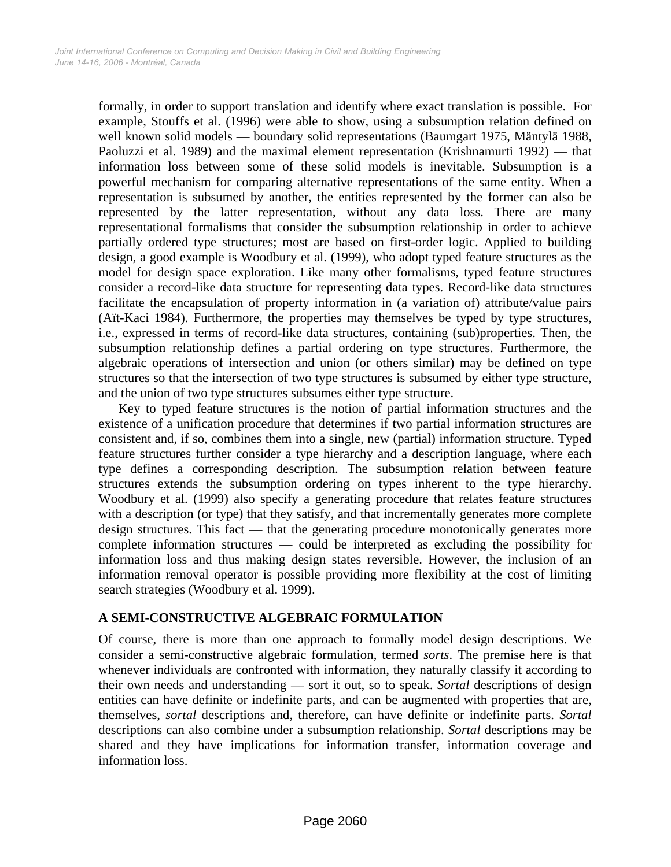formally, in order to support translation and identify where exact translation is possible. For example, Stouffs et al. (1996) were able to show, using a subsumption relation defined on well known solid models — boundary solid representations (Baumgart 1975, Mäntylä 1988, Paoluzzi et al. 1989) and the maximal element representation (Krishnamurti 1992) — that information loss between some of these solid models is inevitable. Subsumption is a powerful mechanism for comparing alternative representations of the same entity. When a representation is subsumed by another, the entities represented by the former can also be represented by the latter representation, without any data loss. There are many representational formalisms that consider the subsumption relationship in order to achieve partially ordered type structures; most are based on first-order logic. Applied to building design, a good example is Woodbury et al. (1999), who adopt typed feature structures as the model for design space exploration. Like many other formalisms, typed feature structures consider a record-like data structure for representing data types. Record-like data structures facilitate the encapsulation of property information in (a variation of) attribute/value pairs (Aït-Kaci 1984). Furthermore, the properties may themselves be typed by type structures, i.e., expressed in terms of record-like data structures, containing (sub)properties. Then, the subsumption relationship defines a partial ordering on type structures. Furthermore, the algebraic operations of intersection and union (or others similar) may be defined on type structures so that the intersection of two type structures is subsumed by either type structure, and the union of two type structures subsumes either type structure.

Key to typed feature structures is the notion of partial information structures and the existence of a unification procedure that determines if two partial information structures are consistent and, if so, combines them into a single, new (partial) information structure. Typed feature structures further consider a type hierarchy and a description language, where each type defines a corresponding description. The subsumption relation between feature structures extends the subsumption ordering on types inherent to the type hierarchy. Woodbury et al. (1999) also specify a generating procedure that relates feature structures with a description (or type) that they satisfy, and that incrementally generates more complete design structures. This fact — that the generating procedure monotonically generates more complete information structures — could be interpreted as excluding the possibility for information loss and thus making design states reversible. However, the inclusion of an information removal operator is possible providing more flexibility at the cost of limiting search strategies (Woodbury et al. 1999).

### **A SEMI-CONSTRUCTIVE ALGEBRAIC FORMULATION**

Of course, there is more than one approach to formally model design descriptions. We consider a semi-constructive algebraic formulation, termed *sorts*. The premise here is that whenever individuals are confronted with information, they naturally classify it according to their own needs and understanding — sort it out, so to speak. *Sortal* descriptions of design entities can have definite or indefinite parts, and can be augmented with properties that are, themselves, *sortal* descriptions and, therefore, can have definite or indefinite parts. *Sortal* descriptions can also combine under a subsumption relationship. *Sortal* descriptions may be shared and they have implications for information transfer, information coverage and information loss.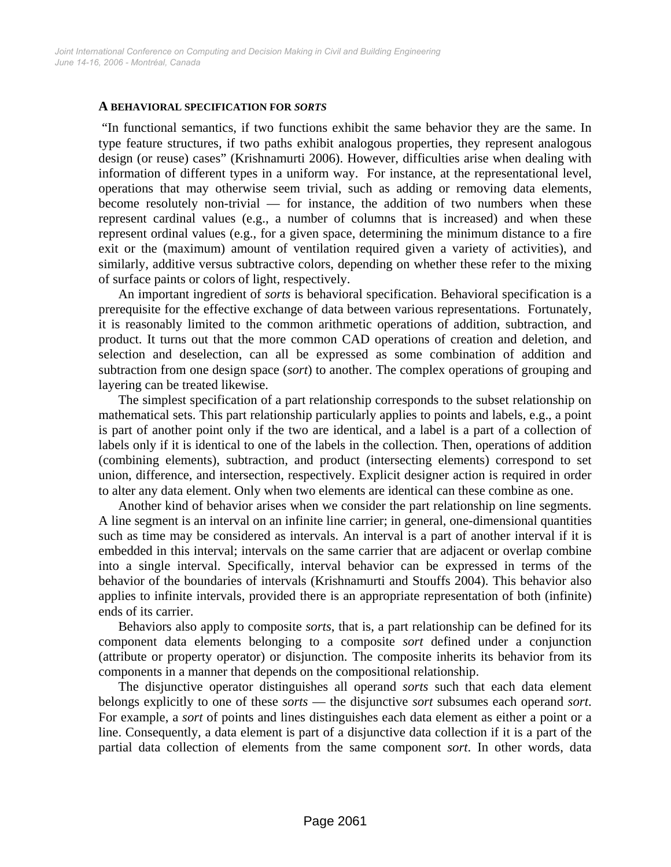#### **A BEHAVIORAL SPECIFICATION FOR** *SORTS*

"In functional semantics, if two functions exhibit the same behavior they are the same. In type feature structures, if two paths exhibit analogous properties, they represent analogous design (or reuse) cases" (Krishnamurti 2006). However, difficulties arise when dealing with information of different types in a uniform way. For instance, at the representational level, operations that may otherwise seem trivial, such as adding or removing data elements, become resolutely non-trivial — for instance, the addition of two numbers when these represent cardinal values (e.g., a number of columns that is increased) and when these represent ordinal values (e.g., for a given space, determining the minimum distance to a fire exit or the (maximum) amount of ventilation required given a variety of activities), and similarly, additive versus subtractive colors, depending on whether these refer to the mixing of surface paints or colors of light, respectively.

An important ingredient of *sorts* is behavioral specification. Behavioral specification is a prerequisite for the effective exchange of data between various representations. Fortunately, it is reasonably limited to the common arithmetic operations of addition, subtraction, and product. It turns out that the more common CAD operations of creation and deletion, and selection and deselection, can all be expressed as some combination of addition and subtraction from one design space (*sort*) to another. The complex operations of grouping and layering can be treated likewise.

The simplest specification of a part relationship corresponds to the subset relationship on mathematical sets. This part relationship particularly applies to points and labels, e.g., a point is part of another point only if the two are identical, and a label is a part of a collection of labels only if it is identical to one of the labels in the collection. Then, operations of addition (combining elements), subtraction, and product (intersecting elements) correspond to set union, difference, and intersection, respectively. Explicit designer action is required in order to alter any data element. Only when two elements are identical can these combine as one.

Another kind of behavior arises when we consider the part relationship on line segments. A line segment is an interval on an infinite line carrier; in general, one-dimensional quantities such as time may be considered as intervals. An interval is a part of another interval if it is embedded in this interval; intervals on the same carrier that are adjacent or overlap combine into a single interval. Specifically, interval behavior can be expressed in terms of the behavior of the boundaries of intervals (Krishnamurti and Stouffs 2004). This behavior also applies to infinite intervals, provided there is an appropriate representation of both (infinite) ends of its carrier.

Behaviors also apply to composite *sorts*, that is, a part relationship can be defined for its component data elements belonging to a composite *sort* defined under a conjunction (attribute or property operator) or disjunction. The composite inherits its behavior from its components in a manner that depends on the compositional relationship.

The disjunctive operator distinguishes all operand *sorts* such that each data element belongs explicitly to one of these *sorts* — the disjunctive *sort* subsumes each operand *sort*. For example, a *sort* of points and lines distinguishes each data element as either a point or a line. Consequently, a data element is part of a disjunctive data collection if it is a part of the partial data collection of elements from the same component *sort*. In other words, data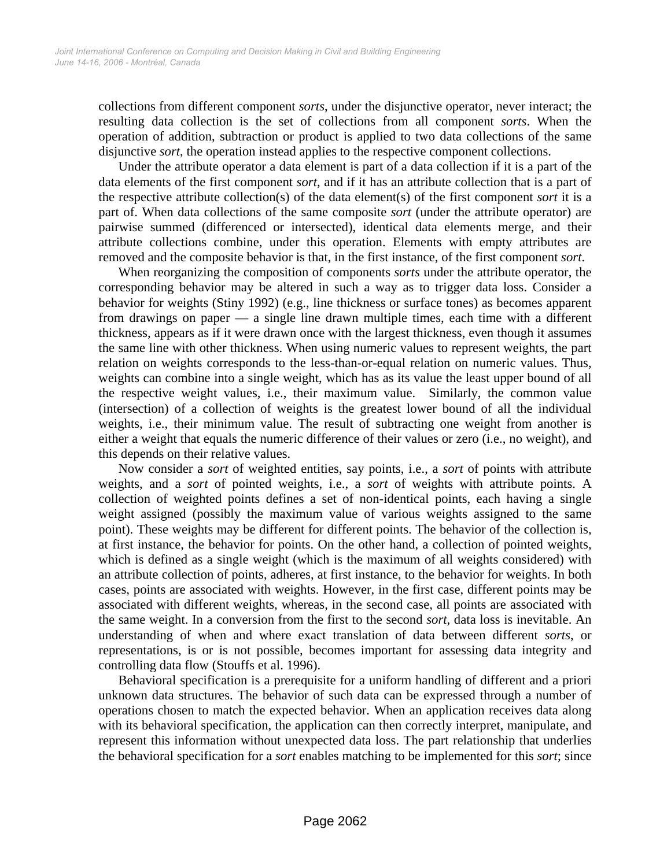collections from different component *sorts*, under the disjunctive operator, never interact; the resulting data collection is the set of collections from all component *sorts*. When the operation of addition, subtraction or product is applied to two data collections of the same disjunctive *sort*, the operation instead applies to the respective component collections.

Under the attribute operator a data element is part of a data collection if it is a part of the data elements of the first component *sort*, and if it has an attribute collection that is a part of the respective attribute collection(s) of the data element(s) of the first component *sort* it is a part of. When data collections of the same composite *sort* (under the attribute operator) are pairwise summed (differenced or intersected), identical data elements merge, and their attribute collections combine, under this operation. Elements with empty attributes are removed and the composite behavior is that, in the first instance, of the first component *sort*.

When reorganizing the composition of components *sorts* under the attribute operator, the corresponding behavior may be altered in such a way as to trigger data loss. Consider a behavior for weights (Stiny 1992) (e.g., line thickness or surface tones) as becomes apparent from drawings on paper — a single line drawn multiple times, each time with a different thickness, appears as if it were drawn once with the largest thickness, even though it assumes the same line with other thickness. When using numeric values to represent weights, the part relation on weights corresponds to the less-than-or-equal relation on numeric values. Thus, weights can combine into a single weight, which has as its value the least upper bound of all the respective weight values, i.e., their maximum value. Similarly, the common value (intersection) of a collection of weights is the greatest lower bound of all the individual weights, i.e., their minimum value. The result of subtracting one weight from another is either a weight that equals the numeric difference of their values or zero (i.e., no weight), and this depends on their relative values.

Now consider a *sort* of weighted entities, say points, i.e., a *sort* of points with attribute weights, and a *sort* of pointed weights, i.e., a *sort* of weights with attribute points. A collection of weighted points defines a set of non-identical points, each having a single weight assigned (possibly the maximum value of various weights assigned to the same point). These weights may be different for different points. The behavior of the collection is, at first instance, the behavior for points. On the other hand, a collection of pointed weights, which is defined as a single weight (which is the maximum of all weights considered) with an attribute collection of points, adheres, at first instance, to the behavior for weights. In both cases, points are associated with weights. However, in the first case, different points may be associated with different weights, whereas, in the second case, all points are associated with the same weight. In a conversion from the first to the second *sort*, data loss is inevitable. An understanding of when and where exact translation of data between different *sorts*, or representations, is or is not possible, becomes important for assessing data integrity and controlling data flow (Stouffs et al. 1996).

Behavioral specification is a prerequisite for a uniform handling of different and a priori unknown data structures. The behavior of such data can be expressed through a number of operations chosen to match the expected behavior. When an application receives data along with its behavioral specification, the application can then correctly interpret, manipulate, and represent this information without unexpected data loss. The part relationship that underlies the behavioral specification for a *sort* enables matching to be implemented for this *sort*; since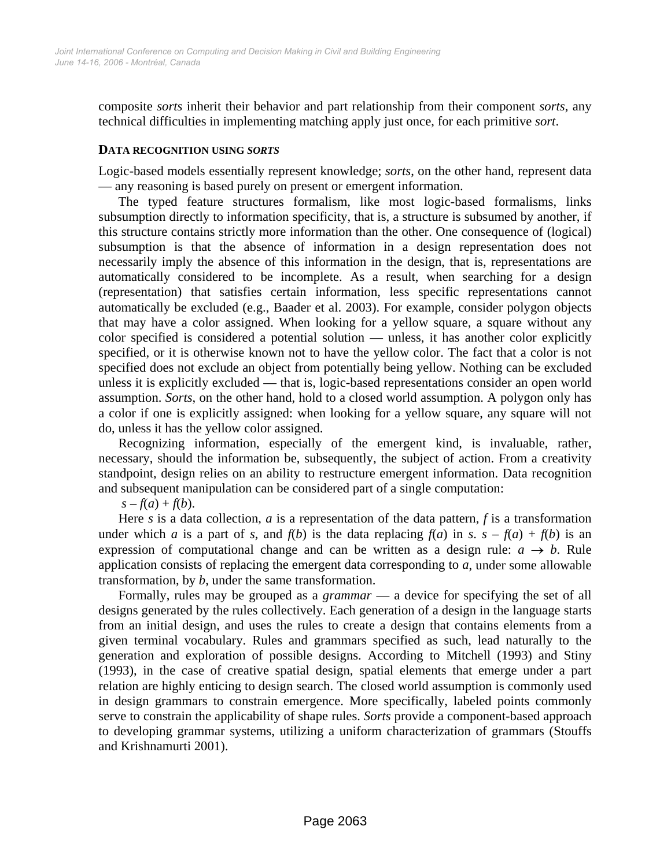composite *sorts* inherit their behavior and part relationship from their component *sorts*, any technical difficulties in implementing matching apply just once, for each primitive *sort*.

#### **DATA RECOGNITION USING** *SORTS*

Logic-based models essentially represent knowledge; *sorts*, on the other hand, represent data — any reasoning is based purely on present or emergent information.

The typed feature structures formalism, like most logic-based formalisms, links subsumption directly to information specificity, that is, a structure is subsumed by another, if this structure contains strictly more information than the other. One consequence of (logical) subsumption is that the absence of information in a design representation does not necessarily imply the absence of this information in the design, that is, representations are automatically considered to be incomplete. As a result, when searching for a design (representation) that satisfies certain information, less specific representations cannot automatically be excluded (e.g., Baader et al. 2003). For example, consider polygon objects that may have a color assigned. When looking for a yellow square, a square without any color specified is considered a potential solution — unless, it has another color explicitly specified, or it is otherwise known not to have the yellow color. The fact that a color is not specified does not exclude an object from potentially being yellow. Nothing can be excluded unless it is explicitly excluded — that is, logic-based representations consider an open world assumption. *Sorts*, on the other hand, hold to a closed world assumption. A polygon only has a color if one is explicitly assigned: when looking for a yellow square, any square will not do, unless it has the yellow color assigned.

Recognizing information, especially of the emergent kind, is invaluable, rather, necessary, should the information be, subsequently, the subject of action. From a creativity standpoint, design relies on an ability to restructure emergent information. Data recognition and subsequent manipulation can be considered part of a single computation:

 $s - f(a) + f(b)$ .

Here *s* is a data collection, *a* is a representation of the data pattern, *f* is a transformation under which *a* is a part of *s*, and  $f(b)$  is the data replacing  $f(a)$  in *s*.  $s - f(a) + f(b)$  is an expression of computational change and can be written as a design rule:  $a \rightarrow b$ . Rule application consists of replacing the emergent data corresponding to *a*, under some allowable transformation, by *b*, under the same transformation.

Formally, rules may be grouped as a *grammar* — a device for specifying the set of all designs generated by the rules collectively. Each generation of a design in the language starts from an initial design, and uses the rules to create a design that contains elements from a given terminal vocabulary. Rules and grammars specified as such, lead naturally to the generation and exploration of possible designs. According to Mitchell (1993) and Stiny (1993), in the case of creative spatial design, spatial elements that emerge under a part relation are highly enticing to design search. The closed world assumption is commonly used in design grammars to constrain emergence. More specifically, labeled points commonly serve to constrain the applicability of shape rules. *Sorts* provide a component-based approach to developing grammar systems, utilizing a uniform characterization of grammars (Stouffs and Krishnamurti 2001).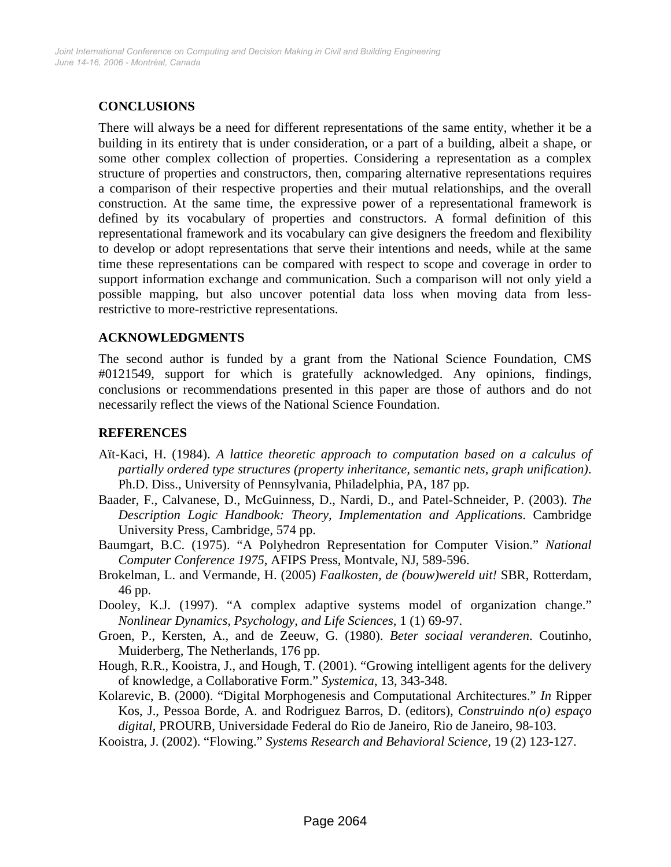# **CONCLUSIONS**

There will always be a need for different representations of the same entity, whether it be a building in its entirety that is under consideration, or a part of a building, albeit a shape, or some other complex collection of properties. Considering a representation as a complex structure of properties and constructors, then, comparing alternative representations requires a comparison of their respective properties and their mutual relationships, and the overall construction. At the same time, the expressive power of a representational framework is defined by its vocabulary of properties and constructors. A formal definition of this representational framework and its vocabulary can give designers the freedom and flexibility to develop or adopt representations that serve their intentions and needs, while at the same time these representations can be compared with respect to scope and coverage in order to support information exchange and communication. Such a comparison will not only yield a possible mapping, but also uncover potential data loss when moving data from lessrestrictive to more-restrictive representations.

### **ACKNOWLEDGMENTS**

The second author is funded by a grant from the National Science Foundation, CMS #0121549, support for which is gratefully acknowledged. Any opinions, findings, conclusions or recommendations presented in this paper are those of authors and do not necessarily reflect the views of the National Science Foundation.

### **REFERENCES**

- Aït-Kaci, H. (1984). *A lattice theoretic approach to computation based on a calculus of partially ordered type structures (property inheritance, semantic nets, graph unification)*. Ph.D. Diss., University of Pennsylvania, Philadelphia, PA, 187 pp.
- Baader, F., Calvanese, D., McGuinness, D., Nardi, D., and Patel-Schneider, P. (2003). *The Description Logic Handbook: Theory, Implementation and Applications*. Cambridge University Press, Cambridge, 574 pp.
- Baumgart, B.C. (1975). "A Polyhedron Representation for Computer Vision." *National Computer Conference 1975*, AFIPS Press, Montvale, NJ, 589-596.
- Brokelman, L. and Vermande, H. (2005) *Faalkosten, de (bouw)wereld uit!* SBR, Rotterdam, 46 pp.
- Dooley, K.J. (1997). "A complex adaptive systems model of organization change." *Nonlinear Dynamics, Psychology, and Life Sciences*, 1 (1) 69-97.
- Groen, P., Kersten, A., and de Zeeuw, G. (1980). *Beter sociaal veranderen*. Coutinho, Muiderberg, The Netherlands, 176 pp.
- Hough, R.R., Kooistra, J., and Hough, T. (2001). "Growing intelligent agents for the delivery of knowledge, a Collaborative Form." *Systemica*, 13, 343-348.
- Kolarevic, B. (2000). "Digital Morphogenesis and Computational Architectures." *In* Ripper Kos, J., Pessoa Borde, A. and Rodriguez Barros, D. (editors), *Construindo n(o) espaço digital*, PROURB, Universidade Federal do Rio de Janeiro, Rio de Janeiro, 98-103.
- Kooistra, J. (2002). "Flowing." *Systems Research and Behavioral Science*, 19 (2) 123-127.